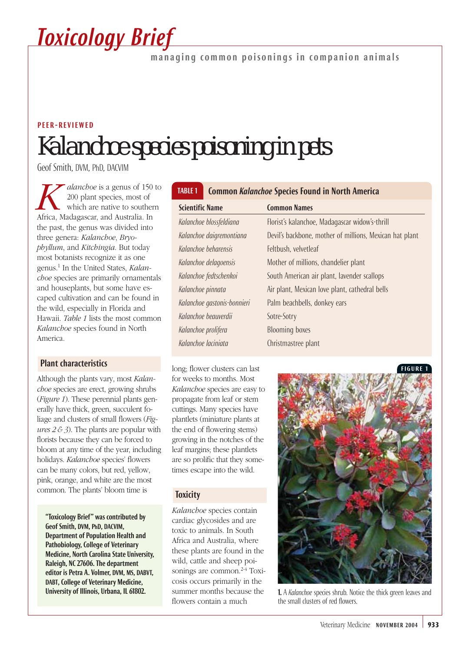

managing common poisonings in companion animals

## *Kalanchoe* species poisoning in pets PEER-REVIEWED

Geof Smith, DVM, PhD, DACVIM

*K*<br> *R*<br> *A*<br> *Coo* plant species, most of<br>
which are native to southern<br> *Africa*, Madagascar, and Australia. In 200 plant species, most of which are native to southern the past, the genus was divided into three genera: *Kalanchoe*, *Bryophyllum*, and *Kitchingia*. But today most botanists recognize it as one genus.1 In the United States, *Kalanchoe* species are primarily ornamentals and houseplants, but some have escaped cultivation and can be found in the wild, especially in Florida and Hawaii. *Table 1* lists the most common *Kalanchoe* species found in North America.

## Plant characteristics

Although the plants vary, most *Kalanchoe* species are erect, growing shrubs (*Figure 1*). These perennial plants generally have thick, green, succulent foliage and clusters of small flowers (*Figures 2 & 3*). The plants are popular with florists because they can be forced to bloom at any time of the year, including holidays. *Kalanchoe* species' flowers can be many colors, but red, yellow, pink, orange, and white are the most common. The plants' bloom time is

"Toxicology Brief" was contributed by Geof Smith, DVM, PhD, DACVIM, Department of Population Health and Pathobiology, College of Veterinary Medicine, North Carolina State University, Raleigh, NC 27606. The department editor is Petra A. Volmer, DVM, MS, DABVT, DABT, College of Veterinary Medicine, University of Illinois, Urbana, IL 61802.

## TABLE 1 Common *Kalanchoe* Species Found in North America

| <b>Scientific Name</b>      | <b>Common Names</b>                                     |
|-----------------------------|---------------------------------------------------------|
| Kalanchoe blossfeldiana     | Florist's kalanchoe, Madagascar widow's-thrill          |
| Kalanchoe daigremontiana    | Devil's backbone, mother of millions, Mexican hat plant |
| Kalanchoe beharensis        | Feltbush, velvetleaf                                    |
| Kalanchoe delagoensis       | Mother of millions, chandelier plant                    |
| Kalanchoe fedtschenkoi      | South American air plant, lavender scallops             |
| Kalanchoe pinnata           | Air plant, Mexican love plant, cathedral bells          |
| Kalanchoe qastonis-bonnieri | Palm beachbells, donkey ears                            |
| Kalanchoe beauverdii        | Sotre-Sotry                                             |
| Kalanchoe prolifera         | <b>Blooming boxes</b>                                   |
| Kalanchoe laciniata         | Christmastree plant                                     |
|                             |                                                         |

long; flower clusters can last for weeks to months. Most *Kalanchoe* species are easy to propagate from leaf or stem cuttings. Many species have plantlets (miniature plants at the end of flowering stems) growing in the notches of the leaf margins; these plantlets are so prolific that they sometimes escape into the wild.

### **Toxicity**

*Kalanchoe* species contain cardiac glycosides and are toxic to animals. In South Africa and Australia, where these plants are found in the wild, cattle and sheep poisonings are common.<sup>2-4</sup> Toxicosis occurs primarily in the summer months because the flowers contain a much



1. A *Kalanchoe* species shrub. Notice the thick green leaves and the small clusters of red flowers.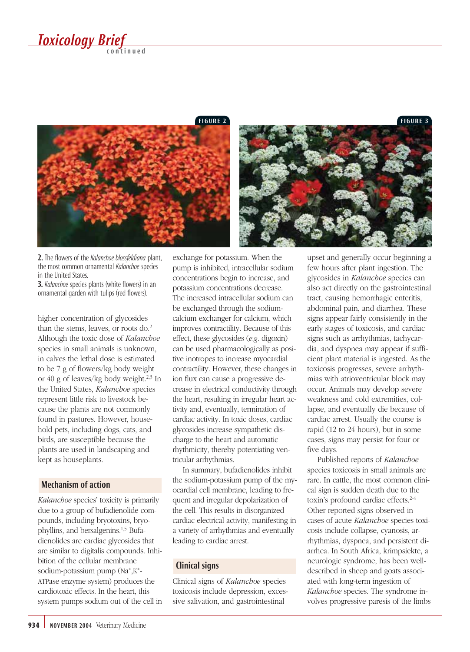# *Toxicology Brief*

FIGURE 2 FIGURE 3



2. The flowers of the *Kalanchoe blossfeldiana* plant, the most common ornamental *Kalanchoe* species in the United States.

3. *Kalanchoe* species plants (white flowers) in an ornamental garden with tulips (red flowers).

higher concentration of glycosides than the stems, leaves, or roots do.2 Although the toxic dose of *Kalanchoe* species in small animals is unknown, in calves the lethal dose is estimated to be 7 g of flowers/kg body weight or 40 g of leaves/kg body weight.2,3 In the United States, *Kalanchoe* species represent little risk to livestock because the plants are not commonly found in pastures. However, household pets, including dogs, cats, and birds, are susceptible because the plants are used in landscaping and kept as houseplants.

#### Mechanism of action

*Kalanchoe* species' toxicity is primarily due to a group of bufadienolide compounds, including bryotoxins, bryophyllins, and bersalgenins.1,5 Bufadienolides are cardiac glycosides that are similar to digitalis compounds. Inhibition of the cellular membrane sodium-potassium pump (Na+,K+- ATPase enzyme system) produces the cardiotoxic effects. In the heart, this system pumps sodium out of the cell in exchange for potassium. When the pump is inhibited, intracellular sodium concentrations begin to increase, and potassium concentrations decrease. The increased intracellular sodium can be exchanged through the sodiumcalcium exchanger for calcium, which improves contractility. Because of this effect, these glycosides (*e.g.* digoxin) can be used pharmacologically as positive inotropes to increase myocardial contractility. However, these changes in ion flux can cause a progressive decrease in electrical conductivity through the heart, resulting in irregular heart activity and, eventually, termination of cardiac activity. In toxic doses, cardiac glycosides increase sympathetic discharge to the heart and automatic rhythmicity, thereby potentiating ventricular arrhythmias.

In summary, bufadienolides inhibit the sodium-potassium pump of the myocardial cell membrane, leading to frequent and irregular depolarization of the cell. This results in disorganized cardiac electrical activity, manifesting in a variety of arrhythmias and eventually leading to cardiac arrest.

### Clinical signs

Clinical signs of *Kalanchoe* species toxicosis include depression, excessive salivation, and gastrointestinal

upset and generally occur beginning a few hours after plant ingestion. The glycosides in *Kalanchoe* species can also act directly on the gastrointestinal tract, causing hemorrhagic enteritis, abdominal pain, and diarrhea. These signs appear fairly consistently in the early stages of toxicosis, and cardiac signs such as arrhythmias, tachycardia, and dyspnea may appear if sufficient plant material is ingested. As the toxicosis progresses, severe arrhythmias with atrioventricular block may occur. Animals may develop severe weakness and cold extremities, collapse, and eventually die because of cardiac arrest. Usually the course is rapid (12 to 24 hours), but in some cases, signs may persist for four or five days.

Published reports of *Kalanchoe* species toxicosis in small animals are rare. In cattle, the most common clinical sign is sudden death due to the toxin's profound cardiac effects.<sup>2-4</sup> Other reported signs observed in cases of acute *Kalanchoe* species toxicosis include collapse, cyanosis, arrhythmias, dyspnea, and persistent diarrhea. In South Africa, krimpsiekte, a neurologic syndrome, has been welldescribed in sheep and goats associated with long-term ingestion of *Kalanchoe* species. The syndrome involves progressive paresis of the limbs